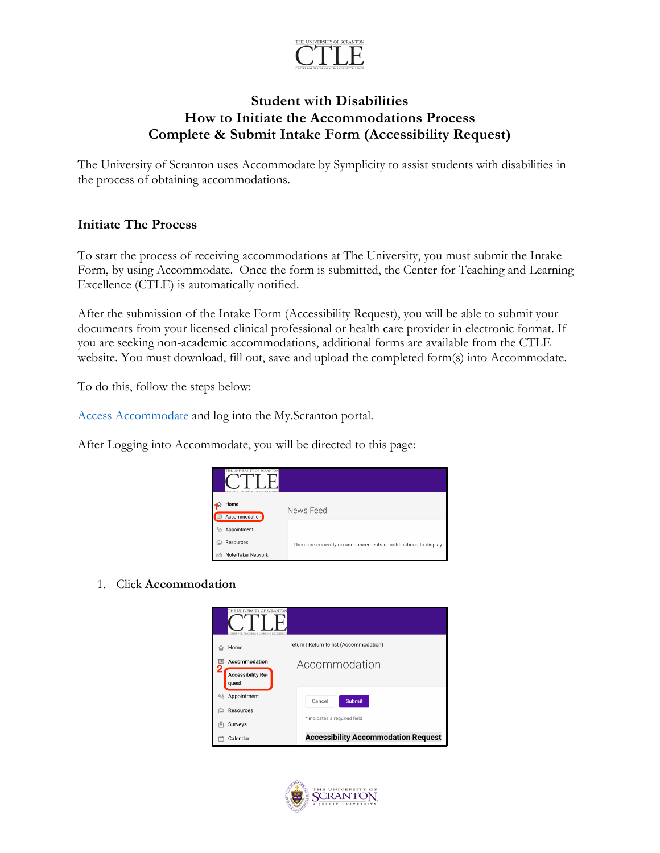

## **Student with Disabilities How to Initiate the Accommodations Process Complete & Submit Intake Form (Accessibility Request)**

The University of Scranton uses Accommodate by Symplicity to assist students with disabilities in the process of obtaining accommodations.

## **Initiate The Process**

To start the process of receiving accommodations at The University, you must submit the Intake Form, by using Accommodate. Once the form is submitted, the Center for Teaching and Learning Excellence (CTLE) is automatically notified.

After the submission of the Intake Form (Accessibility Request), you will be able to submit your documents from your licensed clinical professional or health care provider in electronic format. If you are seeking non-academic accommodations, additional forms are available from the CTLE website. You must download, fill out, save and upload the completed form(s) into Accommodate.

To do this, follow the steps below:

Access Accommodate and log into the My.Scranton portal.

After Logging into Accommodate, you will be directed to this page:



1. Click **Accommodation**